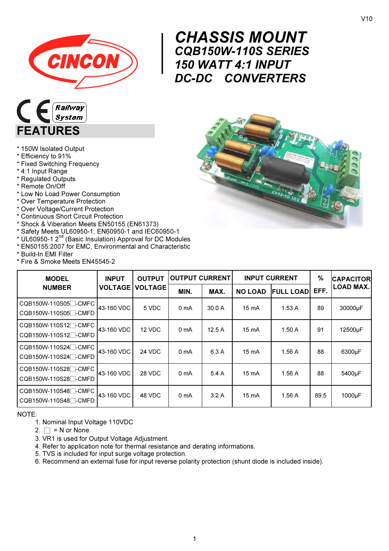

## $\begin{array}{r} \n\text{CH} \\ \n\text{CQE} \\ \n\text{150} \\ \n\text{DC-1} \end{array}$ CHASSIS MOUNT CQB150W-110S SERIES 150 WATT 4:1 INPUT DC-DC CONVERTERS



- \* 150W Isolated Output
- \* Efficiency to 91%
- \* Fixed Switching Frequency
- \* 4:1 Input Range
- \* Regulated Outputs
- \* Remote On/Off
- \* Low No Load Power Consumption
- \* Over Temperature Protection
- \* Over Voltage/Current Protection
- \* Continuous Short Circuit Protection
- \* Shock & Viberation Meets EN50155 (EN61373)
- 
- \* Safety Meets UL60950-1, EN60950-1 and IEC60950-1<br>\* UL60950-1 2<sup>nd</sup> (Basic Insulation) Approval for DC Modules
- \* EN50155:2007 for EMC, Environmental and Characteristic
- \* Build-In EMI Filter
- \* Fire & Smoke Meets EN45545-2

| <b>PADA</b>                                                                                          |
|------------------------------------------------------------------------------------------------------|
| ö                                                                                                    |
| BOAVO<br>$\circ$<br>$944-0$ 1745<br>۰<br>C <sub>N3</sub><br>$cx_{13-10}$<br>$\mathbf{d}$<br>$v_{10}$ |
|                                                                                                      |

| <b>MODEL</b>                                                                                                                        | <b>INPUT</b> | <b>OUTPUT</b>            | <b>OUTPUT CURRENT</b> |        | <b>INPUT CURRENT</b> |                  | %    | <b>CAPACITOR</b>     |
|-------------------------------------------------------------------------------------------------------------------------------------|--------------|--------------------------|-----------------------|--------|----------------------|------------------|------|----------------------|
| <b>NUMBER</b>                                                                                                                       |              | <b>VOLTAGE   VOLTAGE</b> | MIN.                  | MAX.   | <b>NO LOAD</b>       | <b>FULL LOAD</b> | EFF. | <b>LOAD MAX.</b>     |
| CQB150W-110S05 <sup>-</sup> CMFC<br>CQB150W-110S05 <sup>-</sup> CMFD                                                                | 43-160 VDC   | 5 VDC                    | 0 mA                  | 30.0 A | 15 mA                | 1.53A            | 89   | 30000µF              |
| $\overline{\phantom{0}}$ CQB150W-110S12 $\overline{\phantom{0}}$ -CMFC $\overline{\phantom{0}}$<br>CQB150W-110S12 <sup>-</sup> CMFD | 43-160 VDC   | 12 VDC                   | 0 mA                  | 12.5A  | 15 mA                | 1.50A            | 91   | 12500 <sub>u</sub> F |
| CQB150W-110S24 <sup>-</sup> CMFD                                                                                                    | 43-160 VDC   | 24 VDC                   | 0 <sub>mA</sub>       | 6.3A   | 15 mA                | 1.56 A           | 88   | 6300µF               |
| CQB150W-110S28 <sup>-</sup> CMFC<br>CQB150W-110S28 <sup>-</sup> CMFD                                                                | 43-160 VDC   | 28 VDC                   | 0 <sub>mA</sub>       | 5.4A   | 15 mA                | 1.56 A           | 88   | 5400µF               |
| CQB150W-110S48 <sup>-</sup> CMFC<br>CQB150W-110S48 <sup>-</sup> CMFD                                                                | 43-160 VDC   | 48 VDC                   | 0 mA                  | 3.2A   | 15 mA                | 1.56 A           | 89.5 | 1000µF               |

NOTE:

- 1. Nominal Input Voltage 110VDC
- 2.  $\Box$  = N or None.
- 3. VR1 is used for Output Voltage Adjustment.
- 4. Refer to application note for thermal resistance and derating informations.
- 5. TVS is included for input surge voltage protection.
- 6. Recommend an external fuse for input reverse polarity protection (shunt diode is included inside).